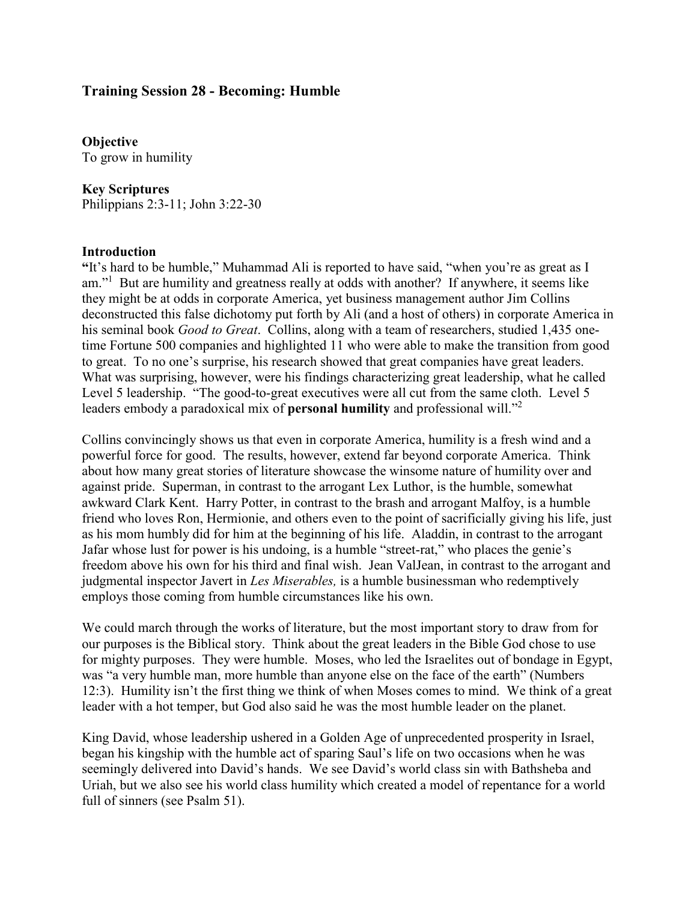### **Training Session 28 - Becoming: Humble**

**Objective** To grow in humility

#### **Key Scriptures**

Philippians 2:3-11; John 3:22-30

#### **Introduction**

**"**It's hard to be humble," Muhammad Ali is reported to have said, "when you're as great as I am."<sup>1</sup> But are humility and greatness really at odds with another? If anywhere, it seems like they might be at odds in corporate America, yet business management author Jim Collins deconstructed this false dichotomy put forth by Ali (and a host of others) in corporate America in his seminal book *Good to Great*. Collins, along with a team of researchers, studied 1,435 onetime Fortune 500 companies and highlighted 11 who were able to make the transition from good to great. To no one's surprise, his research showed that great companies have great leaders. What was surprising, however, were his findings characterizing great leadership, what he called Level 5 leadership. "The good-to-great executives were all cut from the same cloth. Level 5 leaders embody a paradoxical mix of **personal humility** and professional will."<sup>2</sup>

Collins convincingly shows us that even in corporate America, humility is a fresh wind and a powerful force for good. The results, however, extend far beyond corporate America. Think about how many great stories of literature showcase the winsome nature of humility over and against pride. Superman, in contrast to the arrogant Lex Luthor, is the humble, somewhat awkward Clark Kent. Harry Potter, in contrast to the brash and arrogant Malfoy, is a humble friend who loves Ron, Hermionie, and others even to the point of sacrificially giving his life, just as his mom humbly did for him at the beginning of his life. Aladdin, in contrast to the arrogant Jafar whose lust for power is his undoing, is a humble "street-rat," who places the genie's freedom above his own for his third and final wish. Jean ValJean, in contrast to the arrogant and judgmental inspector Javert in *Les Miserables,* is a humble businessman who redemptively employs those coming from humble circumstances like his own.

We could march through the works of literature, but the most important story to draw from for our purposes is the Biblical story. Think about the great leaders in the Bible God chose to use for mighty purposes. They were humble. Moses, who led the Israelites out of bondage in Egypt, was "a very humble man, more humble than anyone else on the face of the earth" (Numbers 12:3). Humility isn't the first thing we think of when Moses comes to mind. We think of a great leader with a hot temper, but God also said he was the most humble leader on the planet.

King David, whose leadership ushered in a Golden Age of unprecedented prosperity in Israel, began his kingship with the humble act of sparing Saul's life on two occasions when he was seemingly delivered into David's hands. We see David's world class sin with Bathsheba and Uriah, but we also see his world class humility which created a model of repentance for a world full of sinners (see Psalm 51).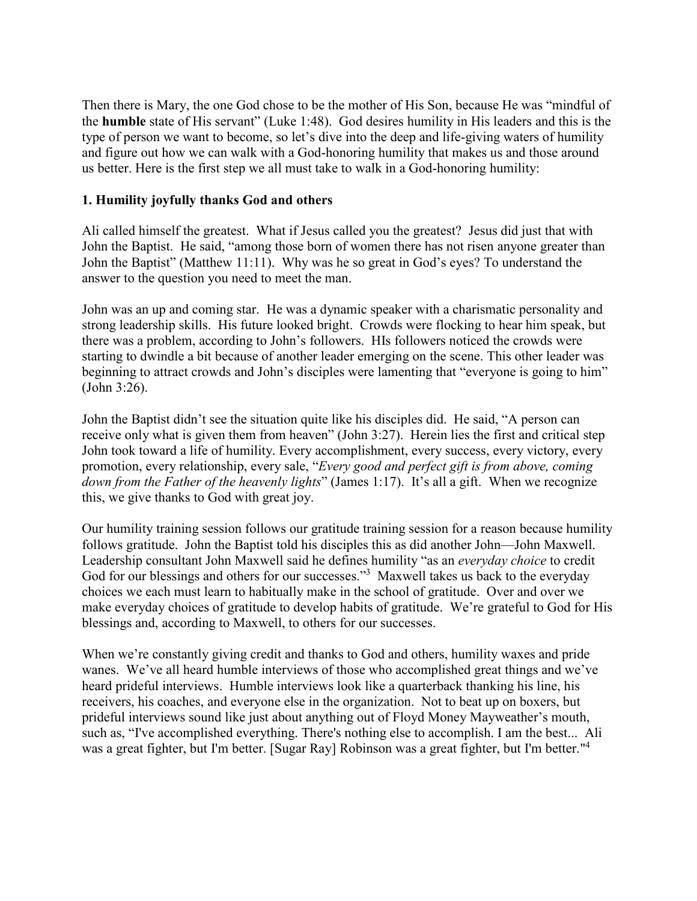Then there is Mary, the one God chose to be the mother of His Son, because He was "mindful of the **humble** state of His servant" (Luke 1:48). God desires humility in His leaders and this is the type of person we want to become, so let's dive into the deep and life-giving waters of humility and figure out how we can walk with a God-honoring humility that makes us and those around us better. Here is the first step we all must take to walk in a God-honoring humility:

### **1. Humility joyfully thanks God and others**

Ali called himself the greatest. What if Jesus called you the greatest? Jesus did just that with John the Baptist. He said, "among those born of women there has not risen anyone greater than John the Baptist" (Matthew 11:11). Why was he so great in God's eyes? To understand the answer to the question you need to meet the man.

John was an up and coming star. He was a dynamic speaker with a charismatic personality and strong leadership skills. His future looked bright. Crowds were flocking to hear him speak, but there was a problem, according to John's followers. HIs followers noticed the crowds were starting to dwindle a bit because of another leader emerging on the scene. This other leader was beginning to attract crowds and John's disciples were lamenting that "everyone is going to him" (John 3:26).

John the Baptist didn't see the situation quite like his disciples did. He said, "A person can receive only what is given them from heaven" (John 3:27). Herein lies the first and critical step John took toward a life of humility. Every accomplishment, every success, every victory, every promotion, every relationship, every sale, "*Every good and perfect gift is from above, coming down from the Father of the heavenly lights*" (James 1:17). It's all a gift. When we recognize this, we give thanks to God with great joy.

Our humility training session follows our gratitude training session for a reason because humility follows gratitude. John the Baptist told his disciples this as did another John—John Maxwell. Leadership consultant John Maxwell said he defines humility "as an *everyday choice* to credit God for our blessings and others for our successes."<sup>3</sup> Maxwell takes us back to the everyday choices we each must learn to habitually make in the school of gratitude. Over and over we make everyday choices of gratitude to develop habits of gratitude. We're grateful to God for His blessings and, according to Maxwell, to others for our successes.

When we're constantly giving credit and thanks to God and others, humility waxes and pride wanes. We've all heard humble interviews of those who accomplished great things and we've heard prideful interviews. Humble interviews look like a quarterback thanking his line, his receivers, his coaches, and everyone else in the organization. Not to beat up on boxers, but prideful interviews sound like just about anything out of Floyd Money Mayweather's mouth, such as, "I've accomplished everything. There's nothing else to accomplish. I am the best... Ali was a great fighter, but I'm better. [Sugar Ray] Robinson was a great fighter, but I'm better."<sup>4</sup>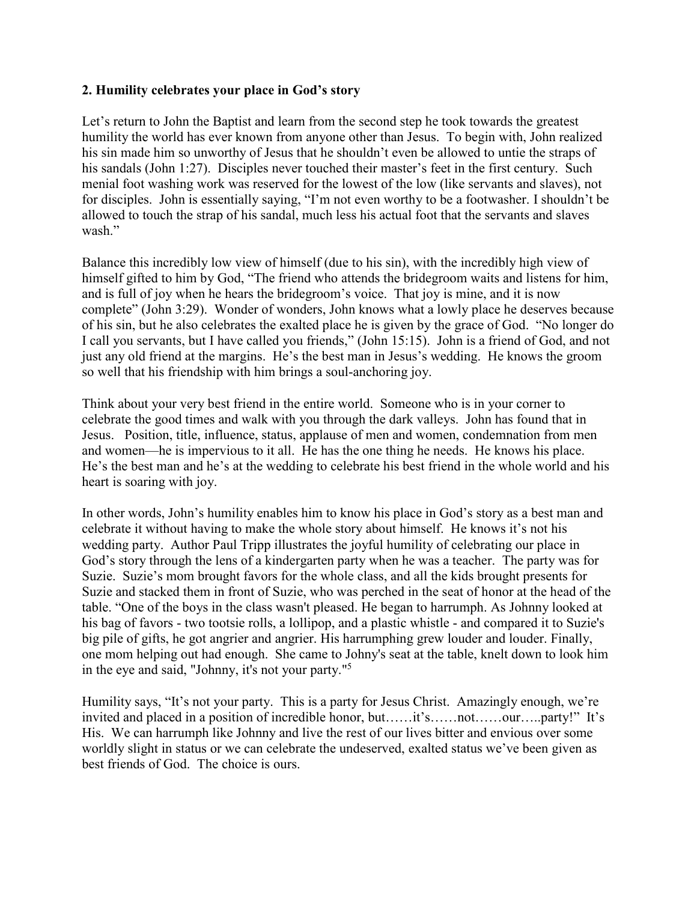### **2. Humility celebrates your place in God's story**

Let's return to John the Baptist and learn from the second step he took towards the greatest humility the world has ever known from anyone other than Jesus. To begin with, John realized his sin made him so unworthy of Jesus that he shouldn't even be allowed to untie the straps of his sandals (John 1:27). Disciples never touched their master's feet in the first century. Such menial foot washing work was reserved for the lowest of the low (like servants and slaves), not for disciples. John is essentially saying, "I'm not even worthy to be a footwasher. I shouldn't be allowed to touch the strap of his sandal, much less his actual foot that the servants and slaves wash."

Balance this incredibly low view of himself (due to his sin), with the incredibly high view of himself gifted to him by God, "The friend who attends the bridegroom waits and listens for him, and is full of joy when he hears the bridegroom's voice. That joy is mine, and it is now complete" (John 3:29). Wonder of wonders, John knows what a lowly place he deserves because of his sin, but he also celebrates the exalted place he is given by the grace of God. "No longer do I call you servants, but I have called you friends," (John 15:15). John is a friend of God, and not just any old friend at the margins. He's the best man in Jesus's wedding. He knows the groom so well that his friendship with him brings a soul-anchoring joy.

Think about your very best friend in the entire world. Someone who is in your corner to celebrate the good times and walk with you through the dark valleys. John has found that in Jesus. Position, title, influence, status, applause of men and women, condemnation from men and women—he is impervious to it all. He has the one thing he needs. He knows his place. He's the best man and he's at the wedding to celebrate his best friend in the whole world and his heart is soaring with joy.

In other words, John's humility enables him to know his place in God's story as a best man and celebrate it without having to make the whole story about himself. He knows it's not his wedding party. Author Paul Tripp illustrates the joyful humility of celebrating our place in God's story through the lens of a kindergarten party when he was a teacher. The party was for Suzie. Suzie's mom brought favors for the whole class, and all the kids brought presents for Suzie and stacked them in front of Suzie, who was perched in the seat of honor at the head of the table. "One of the boys in the class wasn't pleased. He began to harrumph. As Johnny looked at his bag of favors - two tootsie rolls, a lollipop, and a plastic whistle - and compared it to Suzie's big pile of gifts, he got angrier and angrier. His harrumphing grew louder and louder. Finally, one mom helping out had enough. She came to Johny's seat at the table, knelt down to look him in the eye and said, "Johnny, it's not your party."<sup>5</sup>

Humility says, "It's not your party. This is a party for Jesus Christ. Amazingly enough, we're invited and placed in a position of incredible honor, but……it's……not……our…..party!" It's His. We can harrumph like Johnny and live the rest of our lives bitter and envious over some worldly slight in status or we can celebrate the undeserved, exalted status we've been given as best friends of God. The choice is ours.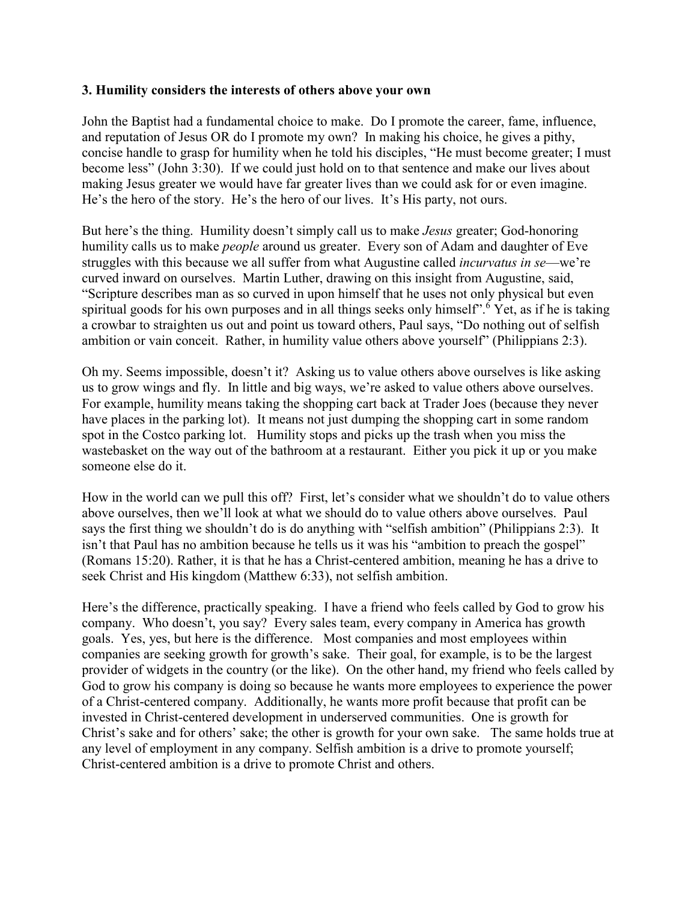#### **3. Humility considers the interests of others above your own**

John the Baptist had a fundamental choice to make. Do I promote the career, fame, influence, and reputation of Jesus OR do I promote my own? In making his choice, he gives a pithy, concise handle to grasp for humility when he told his disciples, "He must become greater; I must become less" (John 3:30). If we could just hold on to that sentence and make our lives about making Jesus greater we would have far greater lives than we could ask for or even imagine. He's the hero of the story. He's the hero of our lives. It's His party, not ours.

But here's the thing. Humility doesn't simply call us to make *Jesus* greater; God-honoring humility calls us to make *people* around us greater. Every son of Adam and daughter of Eve struggles with this because we all suffer from what Augustine called *incurvatus in se*—we're curved inward on ourselves. Martin Luther, drawing on this insight from Augustine, said, "Scripture describes man as so curved in upon himself that he uses not only physical but even spiritual goods for his own purposes and in all things seeks only himself".<sup>6</sup> Yet, as if he is taking a crowbar to straighten us out and point us toward others, Paul says, "Do nothing out of selfish ambition or vain conceit. Rather, in humility value others above yourself" (Philippians 2:3).

Oh my. Seems impossible, doesn't it? Asking us to value others above ourselves is like asking us to grow wings and fly. In little and big ways, we're asked to value others above ourselves. For example, humility means taking the shopping cart back at Trader Joes (because they never have places in the parking lot). It means not just dumping the shopping cart in some random spot in the Costco parking lot. Humility stops and picks up the trash when you miss the wastebasket on the way out of the bathroom at a restaurant. Either you pick it up or you make someone else do it.

How in the world can we pull this off? First, let's consider what we shouldn't do to value others above ourselves, then we'll look at what we should do to value others above ourselves. Paul says the first thing we shouldn't do is do anything with "selfish ambition" (Philippians 2:3). It isn't that Paul has no ambition because he tells us it was his "ambition to preach the gospel" (Romans 15:20). Rather, it is that he has a Christ-centered ambition, meaning he has a drive to seek Christ and His kingdom (Matthew 6:33), not selfish ambition.

Here's the difference, practically speaking. I have a friend who feels called by God to grow his company. Who doesn't, you say? Every sales team, every company in America has growth goals. Yes, yes, but here is the difference. Most companies and most employees within companies are seeking growth for growth's sake. Their goal, for example, is to be the largest provider of widgets in the country (or the like). On the other hand, my friend who feels called by God to grow his company is doing so because he wants more employees to experience the power of a Christ-centered company. Additionally, he wants more profit because that profit can be invested in Christ-centered development in underserved communities. One is growth for Christ's sake and for others' sake; the other is growth for your own sake. The same holds true at any level of employment in any company. Selfish ambition is a drive to promote yourself; Christ-centered ambition is a drive to promote Christ and others.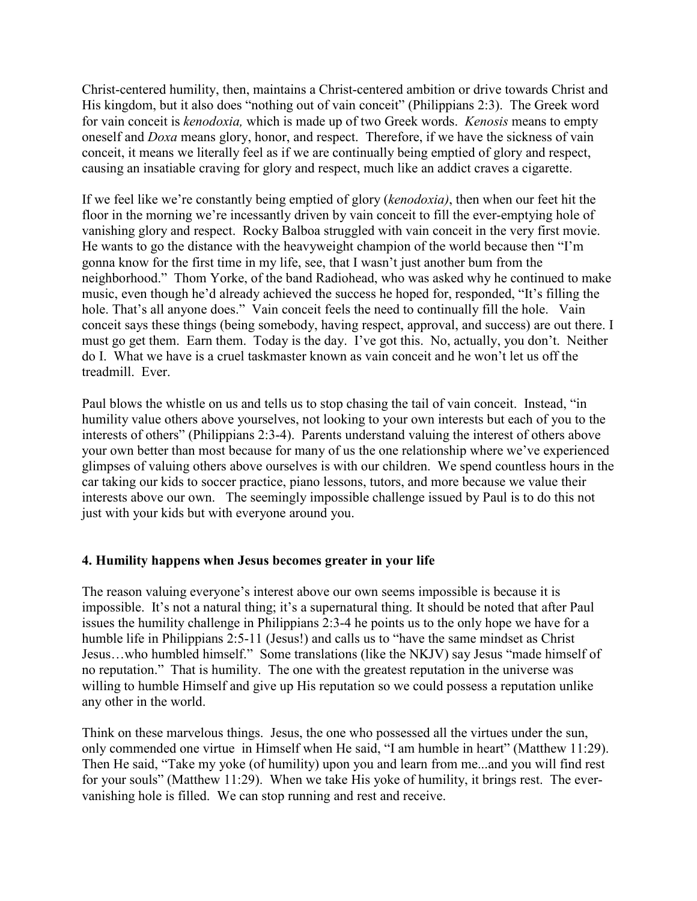Christ-centered humility, then, maintains a Christ-centered ambition or drive towards Christ and His kingdom, but it also does "nothing out of vain conceit" (Philippians 2:3). The Greek word for vain conceit is *kenodoxia,* which is made up of two Greek words. *Kenosis* means to empty oneself and *Doxa* means glory, honor, and respect. Therefore, if we have the sickness of vain conceit, it means we literally feel as if we are continually being emptied of glory and respect, causing an insatiable craving for glory and respect, much like an addict craves a cigarette.

If we feel like we're constantly being emptied of glory (*kenodoxia)*, then when our feet hit the floor in the morning we're incessantly driven by vain conceit to fill the ever-emptying hole of vanishing glory and respect. Rocky Balboa struggled with vain conceit in the very first movie. He wants to go the distance with the heavyweight champion of the world because then "I'm gonna know for the first time in my life, see, that I wasn't just another bum from the neighborhood." Thom Yorke, of the band Radiohead, who was asked why he continued to make music, even though he'd already achieved the success he hoped for, responded, "It's filling the hole. That's all anyone does." Vain conceit feels the need to continually fill the hole. Vain conceit says these things (being somebody, having respect, approval, and success) are out there. I must go get them. Earn them. Today is the day. I've got this. No, actually, you don't. Neither do I. What we have is a cruel taskmaster known as vain conceit and he won't let us off the treadmill. Ever.

Paul blows the whistle on us and tells us to stop chasing the tail of vain conceit. Instead, "in humility value others above yourselves, not looking to your own interests but each of you to the interests of others" (Philippians 2:3-4). Parents understand valuing the interest of others above your own better than most because for many of us the one relationship where we've experienced glimpses of valuing others above ourselves is with our children. We spend countless hours in the car taking our kids to soccer practice, piano lessons, tutors, and more because we value their interests above our own. The seemingly impossible challenge issued by Paul is to do this not just with your kids but with everyone around you.

## **4. Humility happens when Jesus becomes greater in your life**

The reason valuing everyone's interest above our own seems impossible is because it is impossible. It's not a natural thing; it's a supernatural thing. It should be noted that after Paul issues the humility challenge in Philippians 2:3-4 he points us to the only hope we have for a humble life in Philippians 2:5-11 (Jesus!) and calls us to "have the same mindset as Christ Jesus…who humbled himself." Some translations (like the NKJV) say Jesus "made himself of no reputation." That is humility. The one with the greatest reputation in the universe was willing to humble Himself and give up His reputation so we could possess a reputation unlike any other in the world.

Think on these marvelous things. Jesus, the one who possessed all the virtues under the sun, only commended one virtue in Himself when He said, "I am humble in heart" (Matthew 11:29). Then He said, "Take my yoke (of humility) upon you and learn from me...and you will find rest for your souls" (Matthew 11:29). When we take His yoke of humility, it brings rest. The evervanishing hole is filled. We can stop running and rest and receive.